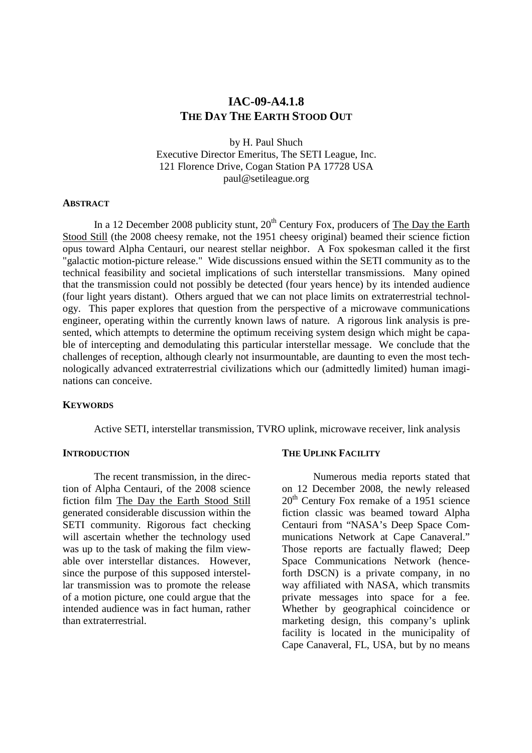# **IAC-09-A4.1.8 THE DAY THE EARTH STOOD OUT**

by H. Paul Shuch Executive Director Emeritus, The SETI League, Inc. 121 Florence Drive, Cogan Station PA 17728 USA paul@setileague.org

#### **ABSTRACT**

In a 12 December 2008 publicity stunt,  $20<sup>th</sup>$  Century Fox, producers of The Day the Earth Stood Still (the 2008 cheesy remake, not the 1951 cheesy original) beamed their science fiction opus toward Alpha Centauri, our nearest stellar neighbor. A Fox spokesman called it the first "galactic motion-picture release." Wide discussions ensued within the SETI community as to the technical feasibility and societal implications of such interstellar transmissions. Many opined that the transmission could not possibly be detected (four years hence) by its intended audience (four light years distant). Others argued that we can not place limits on extraterrestrial technology. This paper explores that question from the perspective of a microwave communications engineer, operating within the currently known laws of nature. A rigorous link analysis is presented, which attempts to determine the optimum receiving system design which might be capable of intercepting and demodulating this particular interstellar message. We conclude that the challenges of reception, although clearly not insurmountable, are daunting to even the most technologically advanced extraterrestrial civilizations which our (admittedly limited) human imaginations can conceive.

#### **KEYWORDS**

Active SETI, interstellar transmission, TVRO uplink, microwave receiver, link analysis

#### **INTRODUCTION**

The recent transmission, in the direction of Alpha Centauri, of the 2008 science fiction film The Day the Earth Stood Still generated considerable discussion within the SETI community. Rigorous fact checking will ascertain whether the technology used was up to the task of making the film viewable over interstellar distances. However, since the purpose of this supposed interstellar transmission was to promote the release of a motion picture, one could argue that the intended audience was in fact human, rather than extraterrestrial.

#### **THE UPLINK FACILITY**

Numerous media reports stated that on 12 December 2008, the newly released  $20<sup>th</sup>$  Century Fox remake of a 1951 science fiction classic was beamed toward Alpha Centauri from "NASA's Deep Space Communications Network at Cape Canaveral." Those reports are factually flawed; Deep Space Communications Network (henceforth DSCN) is a private company, in no way affiliated with NASA, which transmits private messages into space for a fee. Whether by geographical coincidence or marketing design, this company's uplink facility is located in the municipality of Cape Canaveral, FL, USA, but by no means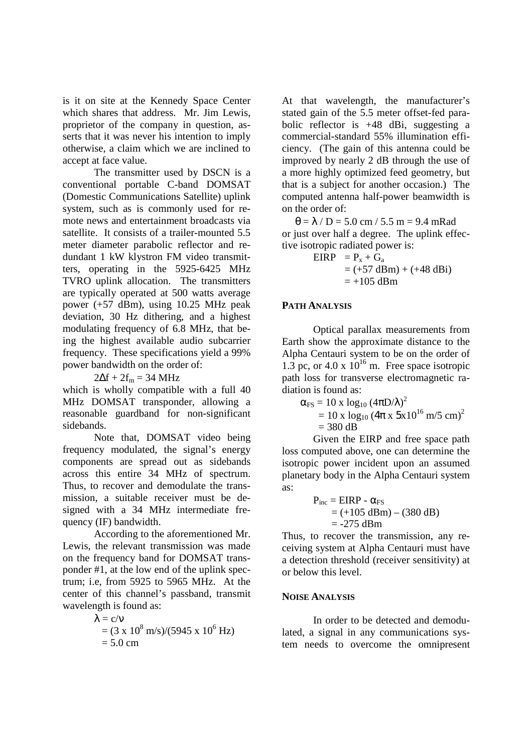is it on site at the Kennedy Space Center which shares that address. Mr. Jim Lewis, proprietor of the company in question, asserts that it was never his intention to imply otherwise, a claim which we are inclined to accept at face value.

The transmitter used by DSCN is a conventional portable C-band DOMSAT (Domestic Communications Satellite) uplink system, such as is commonly used for remote news and entertainment broadcasts via satellite. It consists of a trailer-mounted 5.5 meter diameter parabolic reflector and redundant 1 kW klystron FM video transmitters, operating in the 5925-6425 MHz TVRO uplink allocation. The transmitters are typically operated at 500 watts average power (+57 dBm), using 10.25 MHz peak deviation, 30 Hz dithering, and a highest modulating frequency of 6.8 MHz, that being the highest available audio subcarrier frequency. These specifications yield a 99% power bandwidth on the order of:

 $2\Delta f + 2f_m = 34 \text{ MHz}$ 

which is wholly compatible with a full 40 MHz DOMSAT transponder, allowing a reasonable guardband for non-significant sidebands.

 Note that, DOMSAT video being frequency modulated, the signal's energy components are spread out as sidebands across this entire 34 MHz of spectrum. Thus, to recover and demodulate the transmission, a suitable receiver must be designed with a 34 MHz intermediate frequency (IF) bandwidth.

 According to the aforementioned Mr. Lewis, the relevant transmission was made on the frequency band for DOMSAT transponder #1, at the low end of the uplink spectrum; i.e, from 5925 to 5965 MHz. At the center of this channel's passband, transmit wavelength is found as:

$$
\lambda = c/v
$$
  
= (3 x 10<sup>8</sup> m/s)/(5945 x 10<sup>6</sup> Hz)  
= 5.0 cm

At that wavelength, the manufacturer's stated gain of the 5.5 meter offset-fed parabolic reflector is +48 dBi, suggesting a commercial-standard 55% illumination efficiency. (The gain of this antenna could be improved by nearly 2 dB through the use of a more highly optimized feed geometry, but that is a subject for another occasion.) The computed antenna half-power beamwidth is on the order of:

 $\theta = \lambda / D = 5.0$  cm / 5.5 m = 9.4 mRad or just over half a degree. The uplink effective isotropic radiated power is:

> $EIRP = P_x + G_a$  $= (+57 \text{ dBm}) + (+48 \text{ dBi})$  $= +105$  dBm

#### **PATH ANALYSIS**

Optical parallax measurements from Earth show the approximate distance to the Alpha Centauri system to be on the order of 1.3 pc, or 4.0 x  $10^{16}$  m. Free space isotropic path loss for transverse electromagnetic radiation is found as:

$$
\alpha_{FS} = 10 \times \log_{10} (4\pi D/\lambda)^2
$$
  
= 10 x log<sub>10</sub> (4\pi x 5x10<sup>16</sup> m/5 cm)<sup>2</sup>  
= 380 dB

Given the EIRP and free space path loss computed above, one can determine the isotropic power incident upon an assumed planetary body in the Alpha Centauri system as:

$$
P_{inc} = EIRP - α_{FS}
$$
  
= (+105 dBm) – (380 dB)  
= -275 dBm

Thus, to recover the transmission, any receiving system at Alpha Centauri must have a detection threshold (receiver sensitivity) at or below this level.

#### **NOISE ANALYSIS**

In order to be detected and demodulated, a signal in any communications system needs to overcome the omnipresent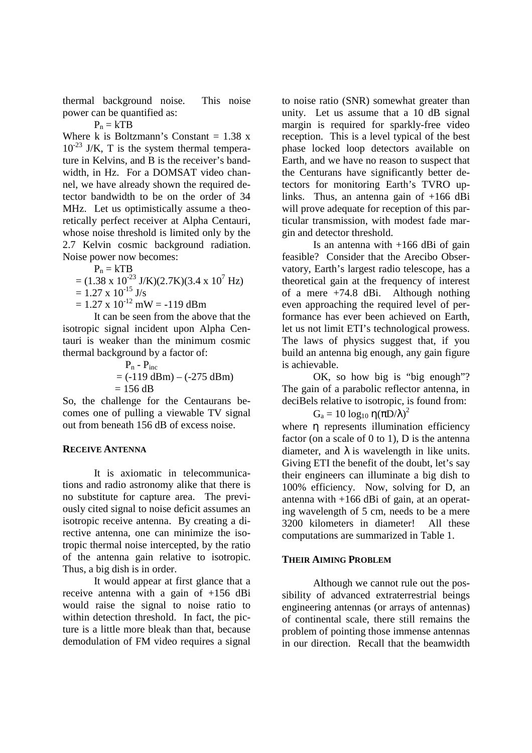thermal background noise. This noise power can be quantified as:

 $P_n = kTB$ 

Where k is Boltzmann's Constant =  $1.38 \text{ x}$  $10^{-23}$  J/K, T is the system thermal temperature in Kelvins, and B is the receiver's bandwidth, in Hz. For a DOMSAT video channel, we have already shown the required detector bandwidth to be on the order of 34 MHz. Let us optimistically assume a theoretically perfect receiver at Alpha Centauri, whose noise threshold is limited only by the 2.7 Kelvin cosmic background radiation. Noise power now becomes:

$$
\mathbf{P}_n = k \mathbf{T} \mathbf{B}
$$

$$
= (1.38 \times 10^{-23} \text{ J/K})(2.7 \text{K})(3.4 \times 10^7 \text{ Hz})
$$

$$
= 1.27 \times 10^{-15} \text{ J/s}
$$

 $= 1.27 \times 10^{-12} \text{ mW} = -119 \text{ dBm}$ 

It can be seen from the above that the isotropic signal incident upon Alpha Centauri is weaker than the minimum cosmic thermal background by a factor of:

$$
P_n - P_{inc}
$$
  
= (-119 dBm) - (-275 dBm)  
= 156 dB

So, the challenge for the Centaurans becomes one of pulling a viewable TV signal out from beneath 156 dB of excess noise.

## **RECEIVE ANTENNA**

It is axiomatic in telecommunications and radio astronomy alike that there is no substitute for capture area. The previously cited signal to noise deficit assumes an isotropic receive antenna. By creating a directive antenna, one can minimize the isotropic thermal noise intercepted, by the ratio of the antenna gain relative to isotropic. Thus, a big dish is in order.

It would appear at first glance that a receive antenna with a gain of +156 dBi would raise the signal to noise ratio to within detection threshold. In fact, the picture is a little more bleak than that, because demodulation of FM video requires a signal

to noise ratio (SNR) somewhat greater than unity. Let us assume that a 10 dB signal margin is required for sparkly-free video reception. This is a level typical of the best phase locked loop detectors available on Earth, and we have no reason to suspect that the Centurans have significantly better detectors for monitoring Earth's TVRO uplinks. Thus, an antenna gain of +166 dBi will prove adequate for reception of this particular transmission, with modest fade margin and detector threshold.

Is an antenna with  $+166$  dBi of gain feasible? Consider that the Arecibo Observatory, Earth's largest radio telescope, has a theoretical gain at the frequency of interest of a mere +74.8 dBi. Although nothing even approaching the required level of performance has ever been achieved on Earth, let us not limit ETI's technological prowess. The laws of physics suggest that, if you build an antenna big enough, any gain figure is achievable.

OK, so how big is "big enough"? The gain of a parabolic reflector antenna, in deciBels relative to isotropic, is found from:

# $G_a = 10 \log_{10} \eta (\pi D/\lambda)^2$

where η represents illumination efficiency factor (on a scale of 0 to 1), D is the antenna diameter, and  $\lambda$  is wavelength in like units. Giving ETI the benefit of the doubt, let's say their engineers can illuminate a big dish to 100% efficiency. Now, solving for D, an antenna with +166 dBi of gain, at an operating wavelength of 5 cm, needs to be a mere 3200 kilometers in diameter! All these computations are summarized in Table 1.

## **THEIR AIMING PROBLEM**

Although we cannot rule out the possibility of advanced extraterrestrial beings engineering antennas (or arrays of antennas) of continental scale, there still remains the problem of pointing those immense antennas in our direction. Recall that the beamwidth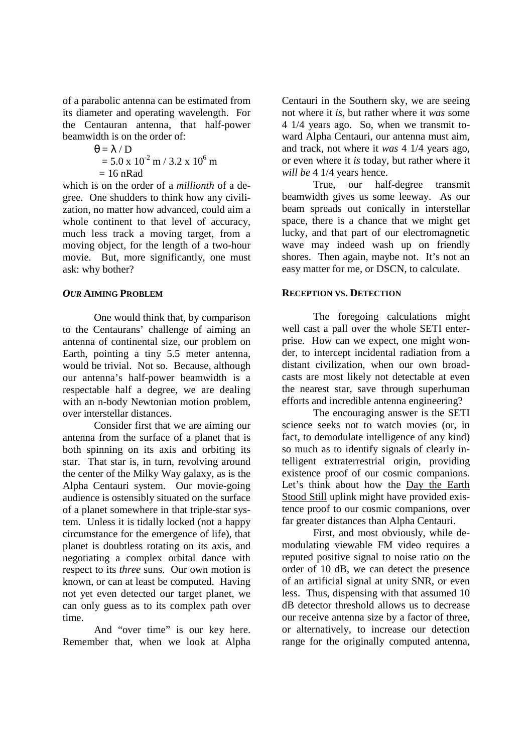of a parabolic antenna can be estimated from its diameter and operating wavelength. For the Centauran antenna, that half-power beamwidth is on the order of:

 $\theta = \lambda / D$  $= 5.0 \times 10^{-2}$  m / 3.2 x 10<sup>6</sup> m  $= 16$  nRad

which is on the order of a *millionth* of a degree. One shudders to think how any civilization, no matter how advanced, could aim a whole continent to that level of accuracy, much less track a moving target, from a moving object, for the length of a two-hour movie. But, more significantly, one must ask: why bother?

## *OUR* **AIMING PROBLEM**

One would think that, by comparison to the Centaurans' challenge of aiming an antenna of continental size, our problem on Earth, pointing a tiny 5.5 meter antenna, would be trivial. Not so. Because, although our antenna's half-power beamwidth is a respectable half a degree, we are dealing with an n-body Newtonian motion problem, over interstellar distances.

Consider first that we are aiming our antenna from the surface of a planet that is both spinning on its axis and orbiting its star. That star is, in turn, revolving around the center of the Milky Way galaxy, as is the Alpha Centauri system. Our movie-going audience is ostensibly situated on the surface of a planet somewhere in that triple-star system. Unless it is tidally locked (not a happy circumstance for the emergence of life), that planet is doubtless rotating on its axis, and negotiating a complex orbital dance with respect to its *three* suns. Our own motion is known, or can at least be computed. Having not yet even detected our target planet, we can only guess as to its complex path over time.

And "over time" is our key here. Remember that, when we look at Alpha Centauri in the Southern sky, we are seeing not where it *is*, but rather where it *was* some 4 1/4 years ago. So, when we transmit toward Alpha Centauri, our antenna must aim, and track, not where it *was* 4 1/4 years ago, or even where it *is* today, but rather where it *will be* 4 1/4 years hence.

True, our half-degree transmit beamwidth gives us some leeway. As our beam spreads out conically in interstellar space, there is a chance that we might get lucky, and that part of our electromagnetic wave may indeed wash up on friendly shores. Then again, maybe not. It's not an easy matter for me, or DSCN, to calculate.

### **RECEPTION VS. DETECTION**

The foregoing calculations might well cast a pall over the whole SETI enterprise. How can we expect, one might wonder, to intercept incidental radiation from a distant civilization, when our own broadcasts are most likely not detectable at even the nearest star, save through superhuman efforts and incredible antenna engineering?

The encouraging answer is the SETI science seeks not to watch movies (or, in fact, to demodulate intelligence of any kind) so much as to identify signals of clearly intelligent extraterrestrial origin, providing existence proof of our cosmic companions. Let's think about how the Day the Earth Stood Still uplink might have provided existence proof to our cosmic companions, over far greater distances than Alpha Centauri.

First, and most obviously, while demodulating viewable FM video requires a reputed positive signal to noise ratio on the order of 10 dB, we can detect the presence of an artificial signal at unity SNR, or even less. Thus, dispensing with that assumed 10 dB detector threshold allows us to decrease our receive antenna size by a factor of three, or alternatively, to increase our detection range for the originally computed antenna,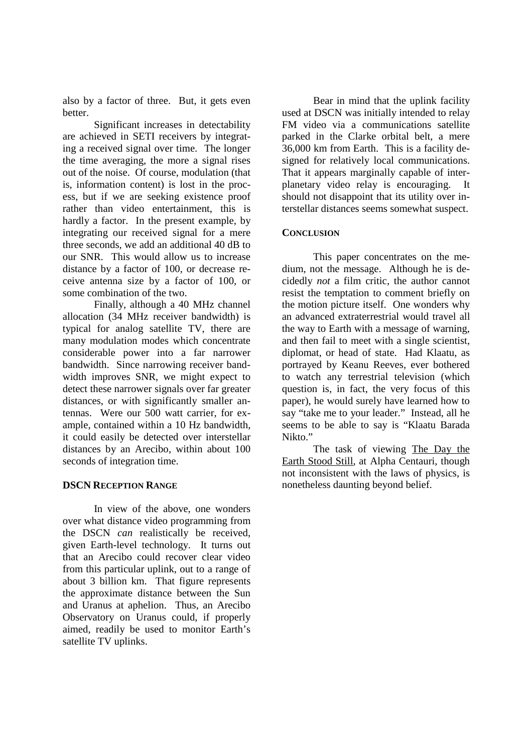also by a factor of three. But, it gets even better.

Significant increases in detectability are achieved in SETI receivers by integrating a received signal over time. The longer the time averaging, the more a signal rises out of the noise. Of course, modulation (that is, information content) is lost in the process, but if we are seeking existence proof rather than video entertainment, this is hardly a factor. In the present example, by integrating our received signal for a mere three seconds, we add an additional 40 dB to our SNR. This would allow us to increase distance by a factor of 100, or decrease receive antenna size by a factor of 100, or some combination of the two.

Finally, although a 40 MHz channel allocation (34 MHz receiver bandwidth) is typical for analog satellite TV, there are many modulation modes which concentrate considerable power into a far narrower bandwidth. Since narrowing receiver bandwidth improves SNR, we might expect to detect these narrower signals over far greater distances, or with significantly smaller antennas. Were our 500 watt carrier, for example, contained within a 10 Hz bandwidth, it could easily be detected over interstellar distances by an Arecibo, within about 100 seconds of integration time.

## **DSCN RECEPTION RANGE**

In view of the above, one wonders over what distance video programming from the DSCN *can* realistically be received, given Earth-level technology. It turns out that an Arecibo could recover clear video from this particular uplink, out to a range of about 3 billion km. That figure represents the approximate distance between the Sun and Uranus at aphelion. Thus, an Arecibo Observatory on Uranus could, if properly aimed, readily be used to monitor Earth's satellite TV uplinks.

Bear in mind that the uplink facility used at DSCN was initially intended to relay FM video via a communications satellite parked in the Clarke orbital belt, a mere 36,000 km from Earth. This is a facility designed for relatively local communications. That it appears marginally capable of interplanetary video relay is encouraging. It should not disappoint that its utility over interstellar distances seems somewhat suspect.

## **CONCLUSION**

This paper concentrates on the medium, not the message. Although he is decidedly *not* a film critic, the author cannot resist the temptation to comment briefly on the motion picture itself. One wonders why an advanced extraterrestrial would travel all the way to Earth with a message of warning, and then fail to meet with a single scientist, diplomat, or head of state. Had Klaatu, as portrayed by Keanu Reeves, ever bothered to watch any terrestrial television (which question is, in fact, the very focus of this paper), he would surely have learned how to say "take me to your leader." Instead, all he seems to be able to say is "Klaatu Barada Nikto."

The task of viewing The Day the Earth Stood Still, at Alpha Centauri, though not inconsistent with the laws of physics, is nonetheless daunting beyond belief.